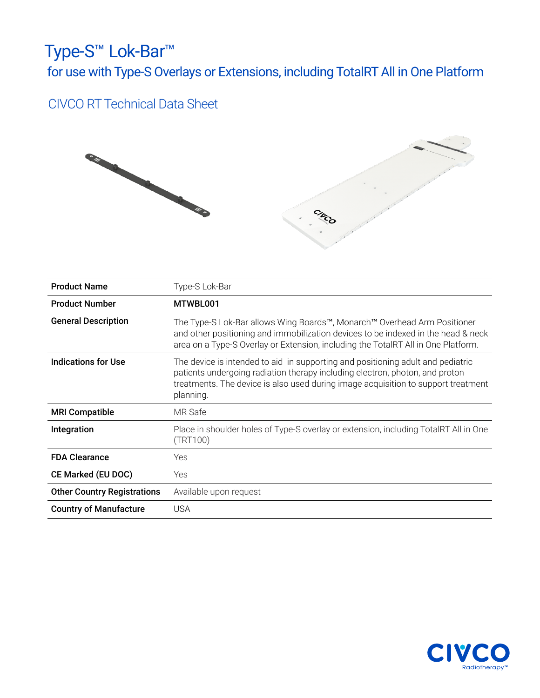## Type-S™ Lok-Bar™ for use with Type-S Overlays or Extensions, including TotalRT All in One Platform

## CIVCO RT Technical Data Sheet



| <b>Product Name</b>                | Type-S Lok-Bar                                                                                                                                                                                                                                                    |
|------------------------------------|-------------------------------------------------------------------------------------------------------------------------------------------------------------------------------------------------------------------------------------------------------------------|
| <b>Product Number</b>              | MTWBL001                                                                                                                                                                                                                                                          |
| <b>General Description</b>         | The Type-S Lok-Bar allows Wing Boards™, Monarch™ Overhead Arm Positioner<br>and other positioning and immobilization devices to be indexed in the head & neck<br>area on a Type-S Overlay or Extension, including the TotalRT All in One Platform.                |
| Indications for Use                | The device is intended to aid in supporting and positioning adult and pediatric<br>patients undergoing radiation therapy including electron, photon, and proton<br>treatments. The device is also used during image acquisition to support treatment<br>planning. |
| <b>MRI Compatible</b>              | MR Safe                                                                                                                                                                                                                                                           |
| Integration                        | Place in shoulder holes of Type-S overlay or extension, including TotalRT All in One<br>(TRT100)                                                                                                                                                                  |
| <b>FDA Clearance</b>               | Yes                                                                                                                                                                                                                                                               |
| <b>CE Marked (EU DOC)</b>          | Yes                                                                                                                                                                                                                                                               |
| <b>Other Country Registrations</b> | Available upon request                                                                                                                                                                                                                                            |
| <b>Country of Manufacture</b>      | <b>USA</b>                                                                                                                                                                                                                                                        |

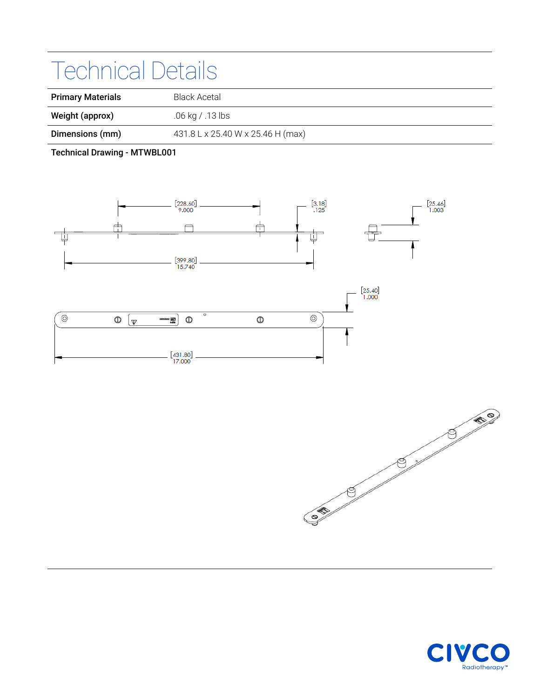## Technical Details

| <b>Primary Materials</b> | Black Acetal                      |
|--------------------------|-----------------------------------|
| Weight (approx)          | .06 kg / .13 lbs                  |
| Dimensions (mm)          | 431.8 L x 25.40 W x 25.46 H (max) |

Technical Drawing - MTWBL001